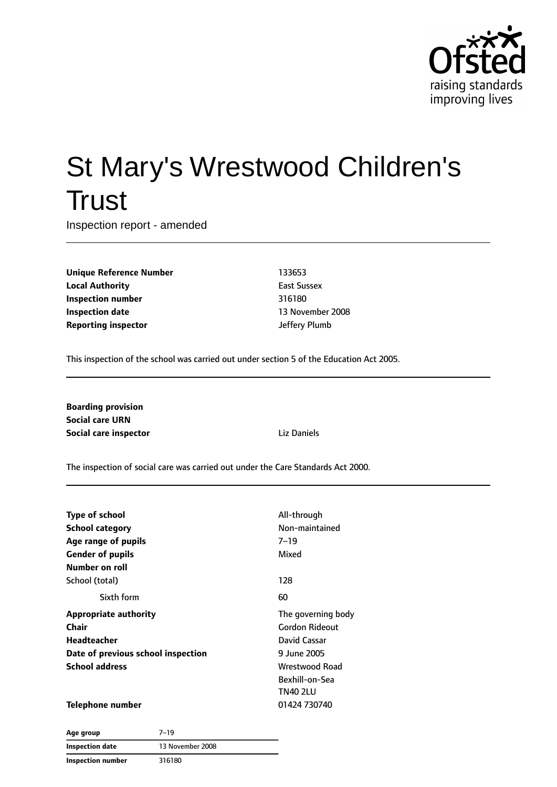

# St Mary's Wrestwood Children's **Trust**

Inspection report - amended

**Unique Reference Number** 133653 **Local Authority** East Sussex **Inspection number** 316180 **Inspection date** 13 November 2008 **Reporting inspector and a set of the UP** defery Plumb

This inspection of the school was carried out under section 5 of the Education Act 2005.

**Boarding provision Social care URN Social care inspector** Liz Daniels

The inspection of social care was carried out under the Care Standards Act 2000.

| <b>Type of school</b>              | All-through        |
|------------------------------------|--------------------|
| <b>School category</b>             | Non-maintained     |
| Age range of pupils                | $7 - 19$           |
| <b>Gender of pupils</b>            | Mixed              |
| Number on roll                     |                    |
| School (total)                     | 128                |
| Sixth form                         | 60                 |
| <b>Appropriate authority</b>       | The governing body |
| Chair                              | Gordon Rideout     |
| Headteacher                        | David Cassar       |
| Date of previous school inspection | 9 June 2005        |
| <b>School address</b>              | Wrestwood Road     |
|                                    | Bexhill-on-Sea     |
|                                    | <b>TN40 2LU</b>    |
| Telephone number                   | 01424 730740       |

| Age group                           | $7 - 19$ |  |
|-------------------------------------|----------|--|
| 13 November 2008<br>Inspection date |          |  |
| <b>Inspection number</b>            | 316180   |  |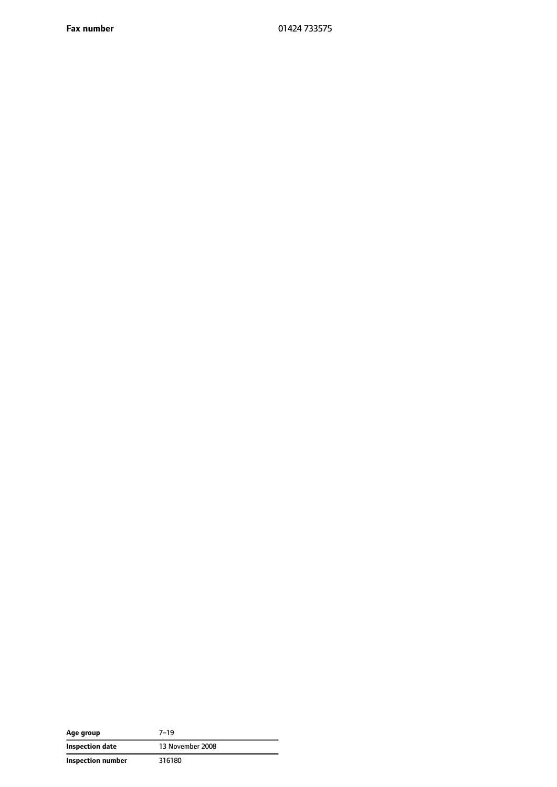**Fax number** 01424 733575

| Age group         | 7–19             |
|-------------------|------------------|
| Inspection date   | 13 November 2008 |
| Inspection number | 316180           |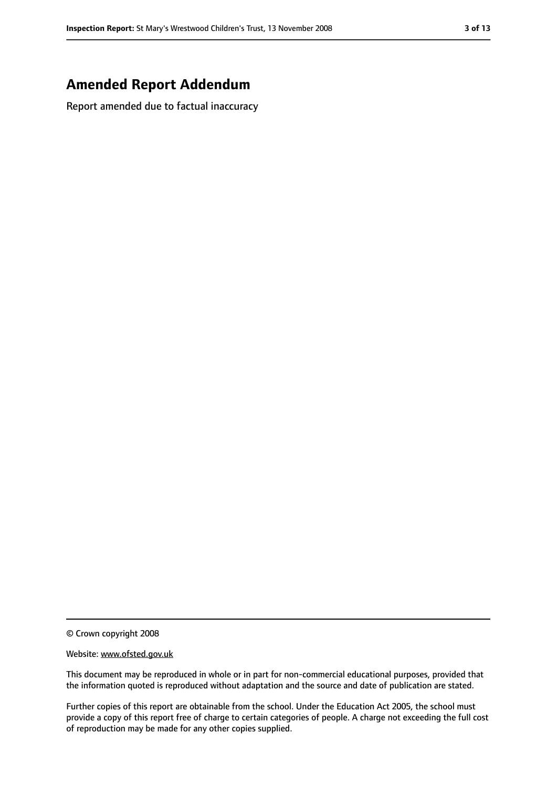# **Amended Report Addendum**

Report amended due to factual inaccuracy

© Crown copyright 2008

#### Website: www.ofsted.gov.uk

This document may be reproduced in whole or in part for non-commercial educational purposes, provided that the information quoted is reproduced without adaptation and the source and date of publication are stated.

Further copies of this report are obtainable from the school. Under the Education Act 2005, the school must provide a copy of this report free of charge to certain categories of people. A charge not exceeding the full cost of reproduction may be made for any other copies supplied.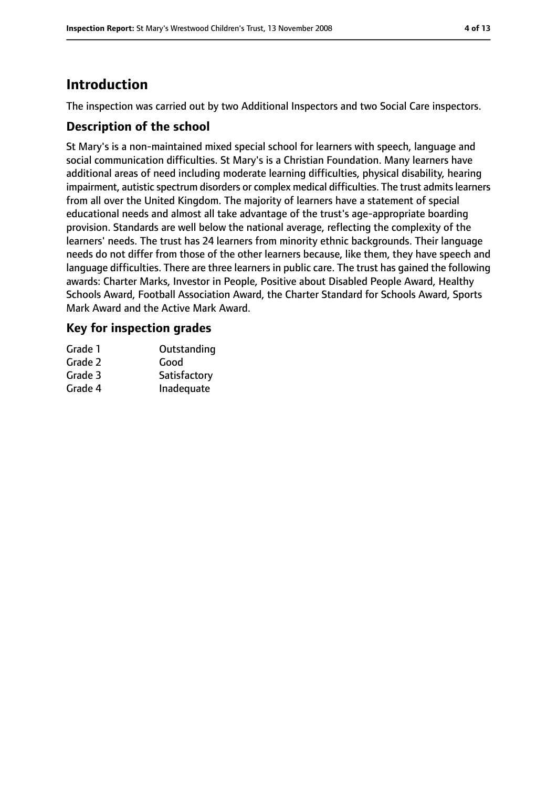# **Introduction**

The inspection was carried out by two Additional Inspectors and two Social Care inspectors.

#### **Description of the school**

St Mary's is a non-maintained mixed special school for learners with speech, language and social communication difficulties. St Mary's is a Christian Foundation. Many learners have additional areas of need including moderate learning difficulties, physical disability, hearing impairment, autistic spectrum disorders or complex medical difficulties. The trust admits learners from all over the United Kingdom. The majority of learners have a statement of special educational needs and almost all take advantage of the trust's age-appropriate boarding provision. Standards are well below the national average, reflecting the complexity of the learners' needs. The trust has 24 learners from minority ethnic backgrounds. Their language needs do not differ from those of the other learners because, like them, they have speech and language difficulties. There are three learners in public care. The trust has gained the following awards: Charter Marks, Investor in People, Positive about Disabled People Award, Healthy Schools Award, Football Association Award, the Charter Standard for Schools Award, Sports Mark Award and the Active Mark Award.

#### **Key for inspection grades**

| Grade 1 | Outstanding  |
|---------|--------------|
| Grade 2 | Good         |
| Grade 3 | Satisfactory |
| Grade 4 | Inadequate   |
|         |              |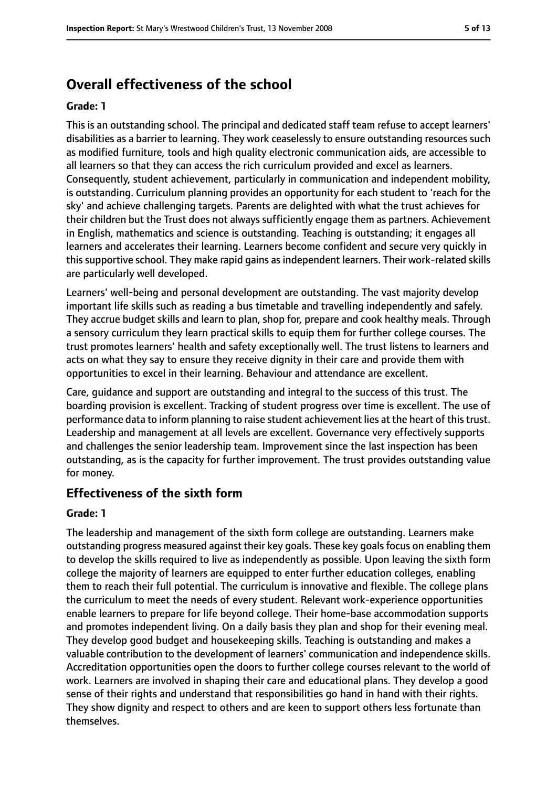# **Overall effectiveness of the school**

#### **Grade: 1**

This is an outstanding school. The principal and dedicated staff team refuse to accept learners' disabilities as a barrier to learning. They work ceaselessly to ensure outstanding resources such as modified furniture, tools and high quality electronic communication aids, are accessible to all learners so that they can access the rich curriculum provided and excel as learners. Consequently, student achievement, particularly in communication and independent mobility, is outstanding. Curriculum planning provides an opportunity for each student to 'reach for the sky' and achieve challenging targets. Parents are delighted with what the trust achieves for their children but the Trust does not always sufficiently engage them as partners. Achievement in English, mathematics and science is outstanding. Teaching is outstanding; it engages all learners and accelerates their learning. Learners become confident and secure very quickly in this supportive school. They make rapid gains as independent learners. Their work-related skills are particularly well developed.

Learners' well-being and personal development are outstanding. The vast majority develop important life skills such as reading a bus timetable and travelling independently and safely. They accrue budget skills and learn to plan, shop for, prepare and cook healthy meals. Through a sensory curriculum they learn practical skills to equip them for further college courses. The trust promotes learners' health and safety exceptionally well. The trust listens to learners and acts on what they say to ensure they receive dignity in their care and provide them with opportunities to excel in their learning. Behaviour and attendance are excellent.

Care, guidance and support are outstanding and integral to the success of this trust. The boarding provision is excellent. Tracking of student progress over time is excellent. The use of performance data to inform planning to raise student achievement lies at the heart of thistrust. Leadership and management at all levels are excellent. Governance very effectively supports and challenges the senior leadership team. Improvement since the last inspection has been outstanding, as is the capacity for further improvement. The trust provides outstanding value for money.

#### **Effectiveness of the sixth form**

#### **Grade: 1**

The leadership and management of the sixth form college are outstanding. Learners make outstanding progress measured against their key goals. These key goals focus on enabling them to develop the skills required to live as independently as possible. Upon leaving the sixth form college the majority of learners are equipped to enter further education colleges, enabling them to reach their full potential. The curriculum is innovative and flexible. The college plans the curriculum to meet the needs of every student. Relevant work-experience opportunities enable learners to prepare for life beyond college. Their home-base accommodation supports and promotes independent living. On a daily basis they plan and shop for their evening meal. They develop good budget and housekeeping skills. Teaching is outstanding and makes a valuable contribution to the development of learners' communication and independence skills. Accreditation opportunities open the doors to further college courses relevant to the world of work. Learners are involved in shaping their care and educational plans. They develop a good sense of their rights and understand that responsibilities go hand in hand with their rights. They show dignity and respect to others and are keen to support others less fortunate than themselves.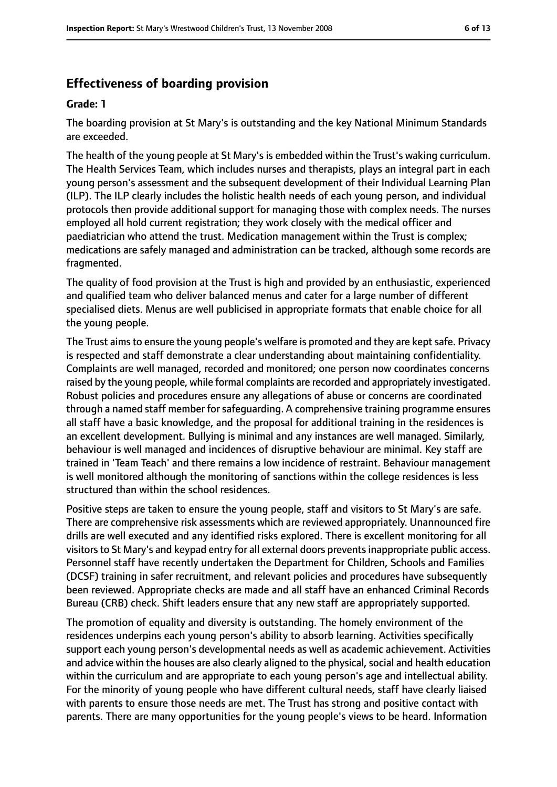### **Effectiveness of boarding provision**

#### **Grade: 1**

The boarding provision at St Mary's is outstanding and the key National Minimum Standards are exceeded.

The health of the young people at St Mary's is embedded within the Trust's waking curriculum. The Health Services Team, which includes nurses and therapists, plays an integral part in each young person's assessment and the subsequent development of their Individual Learning Plan (ILP). The ILP clearly includes the holistic health needs of each young person, and individual protocols then provide additional support for managing those with complex needs. The nurses employed all hold current registration; they work closely with the medical officer and paediatrician who attend the trust. Medication management within the Trust is complex; medications are safely managed and administration can be tracked, although some records are fragmented.

The quality of food provision at the Trust is high and provided by an enthusiastic, experienced and qualified team who deliver balanced menus and cater for a large number of different specialised diets. Menus are well publicised in appropriate formats that enable choice for all the young people.

The Trust aims to ensure the young people's welfare is promoted and they are kept safe. Privacy is respected and staff demonstrate a clear understanding about maintaining confidentiality. Complaints are well managed, recorded and monitored; one person now coordinates concerns raised by the young people, while formal complaints are recorded and appropriately investigated. Robust policies and procedures ensure any allegations of abuse or concerns are coordinated through a named staff member forsafeguarding. A comprehensive training programme ensures all staff have a basic knowledge, and the proposal for additional training in the residences is an excellent development. Bullying is minimal and any instances are well managed. Similarly, behaviour is well managed and incidences of disruptive behaviour are minimal. Key staff are trained in 'Team Teach' and there remains a low incidence of restraint. Behaviour management is well monitored although the monitoring of sanctions within the college residences is less structured than within the school residences.

Positive steps are taken to ensure the young people, staff and visitors to St Mary's are safe. There are comprehensive risk assessments which are reviewed appropriately. Unannounced fire drills are well executed and any identified risks explored. There is excellent monitoring for all visitors to St Mary's and keypad entry for all external doors prevents inappropriate public access. Personnel staff have recently undertaken the Department for Children, Schools and Families (DCSF) training in safer recruitment, and relevant policies and procedures have subsequently been reviewed. Appropriate checks are made and all staff have an enhanced Criminal Records Bureau (CRB) check. Shift leaders ensure that any new staff are appropriately supported.

The promotion of equality and diversity is outstanding. The homely environment of the residences underpins each young person's ability to absorb learning. Activities specifically support each young person's developmental needs as well as academic achievement. Activities and advice within the houses are also clearly aligned to the physical, social and health education within the curriculum and are appropriate to each young person's age and intellectual ability. For the minority of young people who have different cultural needs, staff have clearly liaised with parents to ensure those needs are met. The Trust has strong and positive contact with parents. There are many opportunities for the young people's views to be heard. Information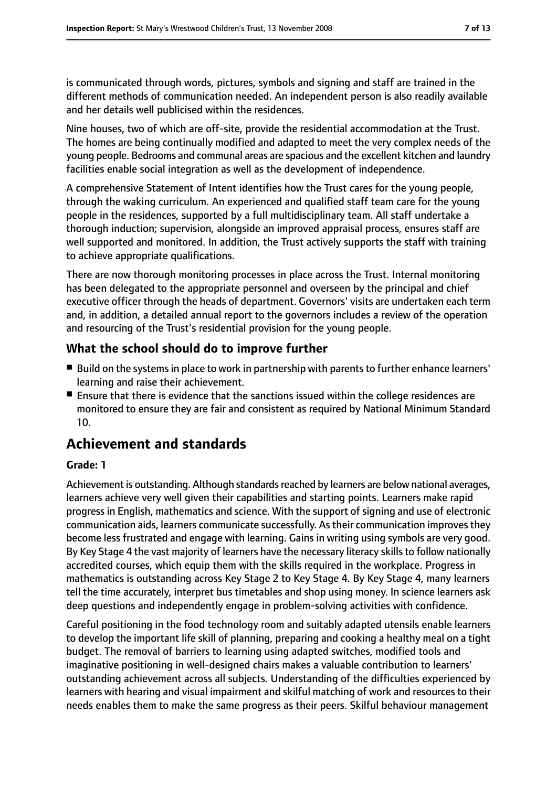is communicated through words, pictures, symbols and signing and staff are trained in the different methods of communication needed. An independent person is also readily available and her details well publicised within the residences.

Nine houses, two of which are off-site, provide the residential accommodation at the Trust. The homes are being continually modified and adapted to meet the very complex needs of the young people. Bedrooms and communal areas are spacious and the excellent kitchen and laundry facilities enable social integration as well as the development of independence.

A comprehensive Statement of Intent identifies how the Trust cares for the young people, through the waking curriculum. An experienced and qualified staff team care for the young people in the residences, supported by a full multidisciplinary team. All staff undertake a thorough induction; supervision, alongside an improved appraisal process, ensures staff are well supported and monitored. In addition, the Trust actively supports the staff with training to achieve appropriate qualifications.

There are now thorough monitoring processes in place across the Trust. Internal monitoring has been delegated to the appropriate personnel and overseen by the principal and chief executive officer through the heads of department. Governors' visits are undertaken each term and, in addition, a detailed annual report to the governors includes a review of the operation and resourcing of the Trust's residential provision for the young people.

#### **What the school should do to improve further**

- Build on the systems in place to work in partnership with parents to further enhance learners' learning and raise their achievement.
- Ensure that there is evidence that the sanctions issued within the college residences are monitored to ensure they are fair and consistent as required by National Minimum Standard 10.

# **Achievement and standards**

#### **Grade: 1**

Achievement is outstanding. Although standards reached by learners are below national averages, learners achieve very well given their capabilities and starting points. Learners make rapid progress in English, mathematics and science. With the support of signing and use of electronic communication aids, learners communicate successfully. Astheir communication improvesthey become less frustrated and engage with learning. Gains in writing using symbols are very good. By Key Stage 4 the vast majority of learners have the necessary literacy skills to follow nationally accredited courses, which equip them with the skills required in the workplace. Progress in mathematics is outstanding across Key Stage 2 to Key Stage 4. By Key Stage 4, many learners tell the time accurately, interpret bus timetables and shop using money. In science learners ask deep questions and independently engage in problem-solving activities with confidence.

Careful positioning in the food technology room and suitably adapted utensils enable learners to develop the important life skill of planning, preparing and cooking a healthy meal on a tight budget. The removal of barriers to learning using adapted switches, modified tools and imaginative positioning in well-designed chairs makes a valuable contribution to learners' outstanding achievement across all subjects. Understanding of the difficulties experienced by learners with hearing and visual impairment and skilful matching of work and resources to their needs enables them to make the same progress as their peers. Skilful behaviour management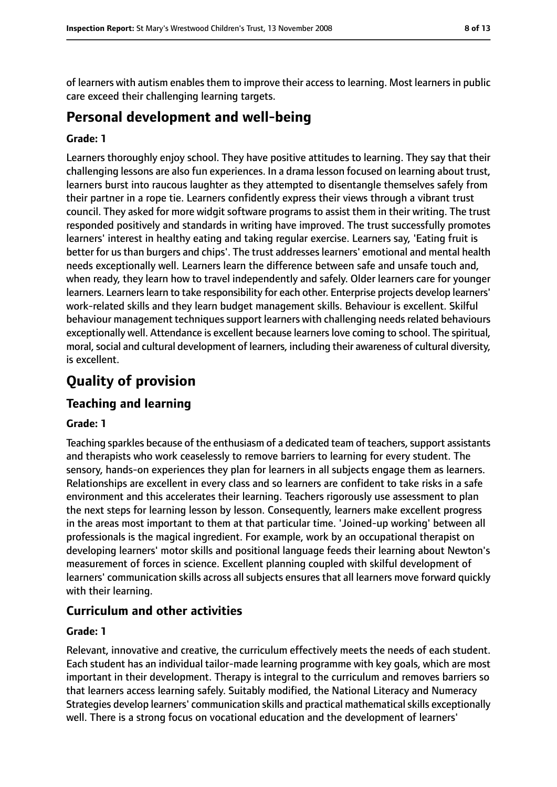of learners with autism enables them to improve their access to learning. Most learners in public care exceed their challenging learning targets.

# **Personal development and well-being**

#### **Grade: 1**

Learners thoroughly enjoy school. They have positive attitudes to learning. They say that their challenging lessons are also fun experiences. In a drama lesson focused on learning about trust, learners burst into raucous laughter as they attempted to disentangle themselves safely from their partner in a rope tie. Learners confidently express their views through a vibrant trust council. They asked for more widgit software programs to assist them in their writing. The trust responded positively and standards in writing have improved. The trust successfully promotes learners' interest in healthy eating and taking regular exercise. Learners say, 'Eating fruit is better for us than burgers and chips'. The trust addresses learners' emotional and mental health needs exceptionally well. Learners learn the difference between safe and unsafe touch and, when ready, they learn how to travel independently and safely. Older learners care for younger learners. Learnerslearn to take responsibility for each other. Enterprise projects develop learners' work-related skills and they learn budget management skills. Behaviour is excellent. Skilful behaviour management techniques support learners with challenging needs related behaviours exceptionally well. Attendance is excellent because learnerslove coming to school. The spiritual, moral, social and cultural development of learners, including their awareness of cultural diversity, is excellent.

# **Quality of provision**

#### **Teaching and learning**

#### **Grade: 1**

Teaching sparkles because of the enthusiasm of a dedicated team of teachers, support assistants and therapists who work ceaselessly to remove barriers to learning for every student. The sensory, hands-on experiences they plan for learners in all subjects engage them as learners. Relationships are excellent in every class and so learners are confident to take risks in a safe environment and this accelerates their learning. Teachers rigorously use assessment to plan the next steps for learning lesson by lesson. Consequently, learners make excellent progress in the areas most important to them at that particular time. 'Joined-up working' between all professionals is the magical ingredient. For example, work by an occupational therapist on developing learners' motor skills and positional language feeds their learning about Newton's measurement of forces in science. Excellent planning coupled with skilful development of learners' communication skills across all subjects ensures that all learners move forward quickly with their learning.

#### **Curriculum and other activities**

#### **Grade: 1**

Relevant, innovative and creative, the curriculum effectively meets the needs of each student. Each student has an individual tailor-made learning programme with key goals, which are most important in their development. Therapy is integral to the curriculum and removes barriers so that learners access learning safely. Suitably modified, the National Literacy and Numeracy Strategies develop learners' communication skills and practical mathematical skills exceptionally well. There is a strong focus on vocational education and the development of learners'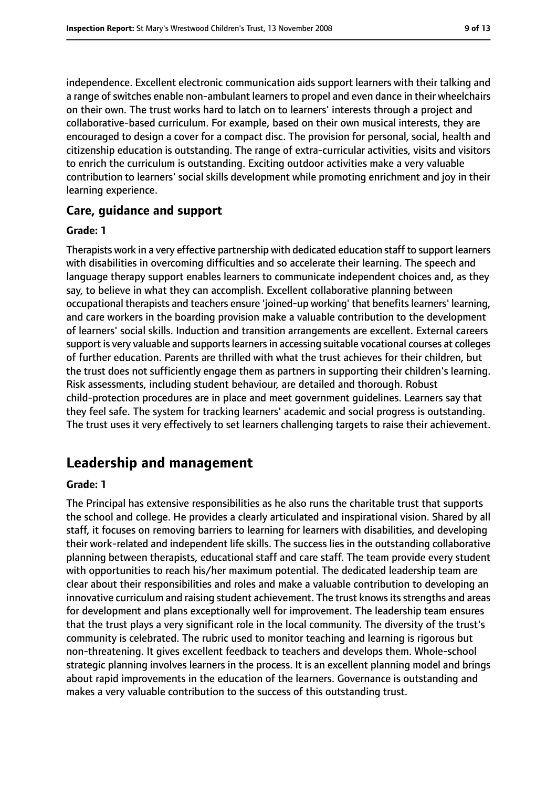independence. Excellent electronic communication aids support learners with their talking and a range of switches enable non-ambulant learners to propel and even dance in their wheelchairs on their own. The trust works hard to latch on to learners' interests through a project and collaborative-based curriculum. For example, based on their own musical interests, they are encouraged to design a cover for a compact disc. The provision for personal, social, health and citizenship education is outstanding. The range of extra-curricular activities, visits and visitors to enrich the curriculum is outstanding. Exciting outdoor activities make a very valuable contribution to learners' social skills development while promoting enrichment and joy in their learning experience.

#### **Care, guidance and support**

#### **Grade: 1**

Therapists work in a very effective partnership with dedicated education staff to support learners with disabilities in overcoming difficulties and so accelerate their learning. The speech and language therapy support enables learners to communicate independent choices and, as they say, to believe in what they can accomplish. Excellent collaborative planning between occupational therapists and teachers ensure 'joined-up working' that benefitslearners' learning, and care workers in the boarding provision make a valuable contribution to the development of learners' social skills. Induction and transition arrangements are excellent. External careers support is very valuable and supports learners in accessing suitable vocational courses at colleges of further education. Parents are thrilled with what the trust achieves for their children, but the trust does not sufficiently engage them as partners in supporting their children's learning. Risk assessments, including student behaviour, are detailed and thorough. Robust child-protection procedures are in place and meet government guidelines. Learners say that they feel safe. The system for tracking learners' academic and social progress is outstanding. The trust uses it very effectively to set learners challenging targets to raise their achievement.

# **Leadership and management**

#### **Grade: 1**

The Principal has extensive responsibilities as he also runs the charitable trust that supports the school and college. He provides a clearly articulated and inspirational vision. Shared by all staff, it focuses on removing barriers to learning for learners with disabilities, and developing their work-related and independent life skills. The success lies in the outstanding collaborative planning between therapists, educational staff and care staff. The team provide every student with opportunities to reach his/her maximum potential. The dedicated leadership team are clear about their responsibilities and roles and make a valuable contribution to developing an innovative curriculum and raising student achievement. The trust knows its strengths and areas for development and plans exceptionally well for improvement. The leadership team ensures that the trust plays a very significant role in the local community. The diversity of the trust's community is celebrated. The rubric used to monitor teaching and learning is rigorous but non-threatening. It gives excellent feedback to teachers and develops them. Whole-school strategic planning involves learners in the process. It is an excellent planning model and brings about rapid improvements in the education of the learners. Governance is outstanding and makes a very valuable contribution to the success of this outstanding trust.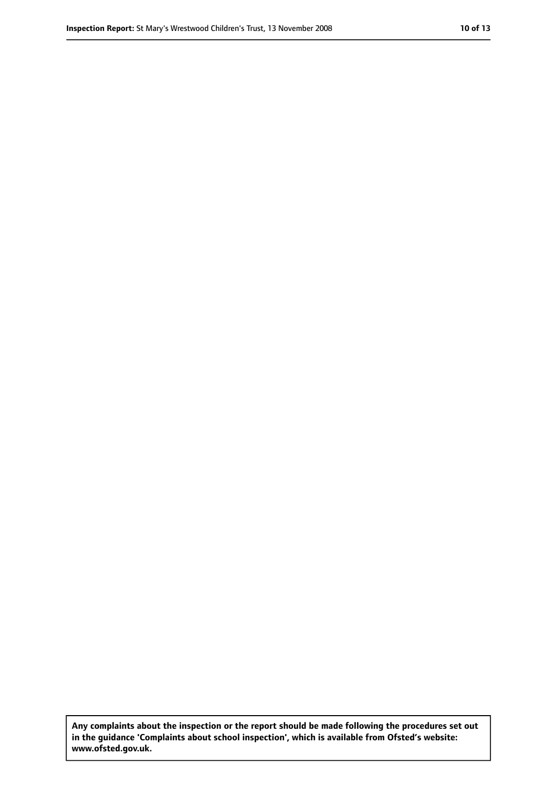**Any complaints about the inspection or the report should be made following the procedures set out in the guidance 'Complaints about school inspection', which is available from Ofsted's website: www.ofsted.gov.uk.**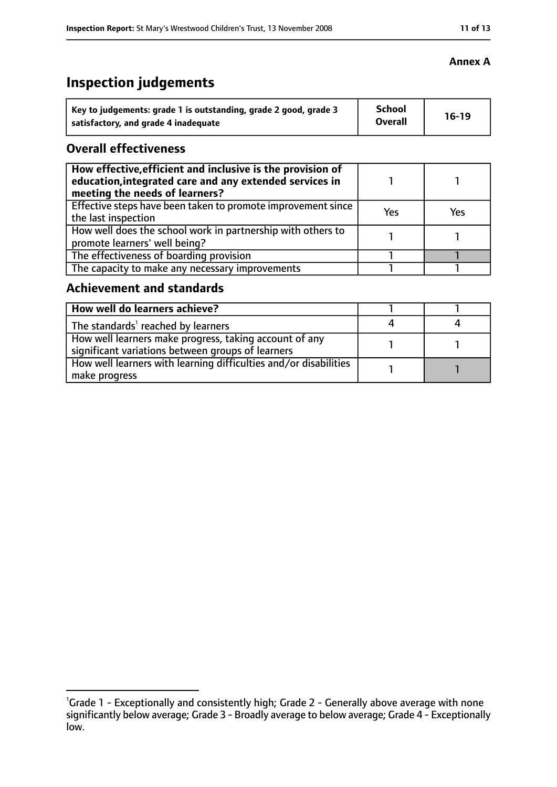# **Inspection judgements**

| Key to judgements: grade 1 is outstanding, grade 2 good, grade 3 | <b>School</b><br><b>Overall</b> | $16-19$ |
|------------------------------------------------------------------|---------------------------------|---------|
| satisfactory, and grade 4 inadequate                             |                                 |         |

#### **Overall effectiveness**

| How effective, efficient and inclusive is the provision of<br>education, integrated care and any extended services in<br>meeting the needs of learners? |     |     |
|---------------------------------------------------------------------------------------------------------------------------------------------------------|-----|-----|
| Effective steps have been taken to promote improvement since<br>the last inspection                                                                     | Yes | Yes |
| How well does the school work in partnership with others to<br>promote learners' well being?                                                            |     |     |
| The effectiveness of boarding provision                                                                                                                 |     |     |
| The capacity to make any necessary improvements                                                                                                         |     |     |

### **Achievement and standards**

| How well do learners achieve?                                                                               |  |
|-------------------------------------------------------------------------------------------------------------|--|
| The standards <sup>1</sup> reached by learners                                                              |  |
| How well learners make progress, taking account of any<br>significant variations between groups of learners |  |
| How well learners with learning difficulties and/or disabilities<br>make progress                           |  |

<sup>&</sup>lt;sup>1</sup>Grade 1 - Exceptionally and consistently high; Grade 2 - Generally above average with none significantly below average; Grade 3 - Broadly average to below average; Grade 4 - Exceptionally low.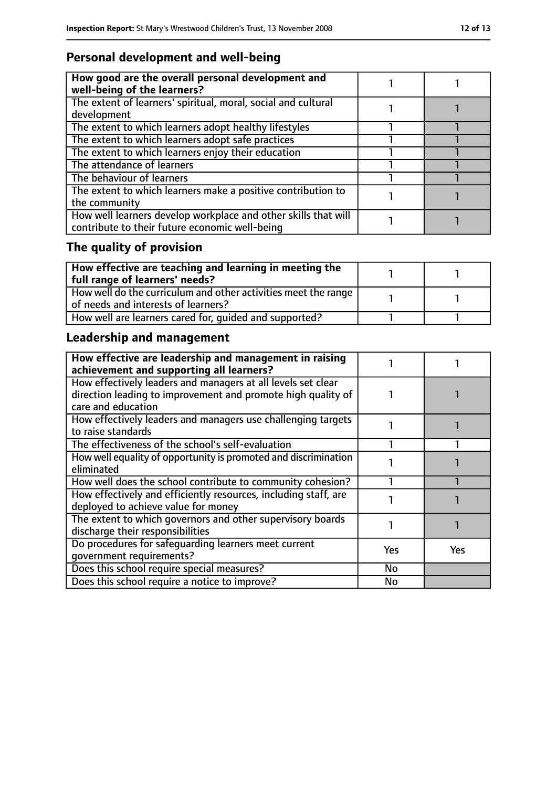# **Personal development and well-being**

| How good are the overall personal development and<br>well-being of the learners?                                 |  |
|------------------------------------------------------------------------------------------------------------------|--|
| The extent of learners' spiritual, moral, social and cultural<br>development                                     |  |
| The extent to which learners adopt healthy lifestyles                                                            |  |
| The extent to which learners adopt safe practices                                                                |  |
| The extent to which learners enjoy their education                                                               |  |
| The attendance of learners                                                                                       |  |
| The behaviour of learners                                                                                        |  |
| The extent to which learners make a positive contribution to<br>the community                                    |  |
| How well learners develop workplace and other skills that will<br>contribute to their future economic well-being |  |

# **The quality of provision**

| $\mid$ How effective are teaching and learning in meeting the<br>full range of learners' needs?       |  |
|-------------------------------------------------------------------------------------------------------|--|
| How well do the curriculum and other activities meet the range<br>of needs and interests of learners? |  |
| How well are learners cared for, quided and supported?                                                |  |

# **Leadership and management**

| How effective are leadership and management in raising<br>achievement and supporting all learners?                                                 |     |     |
|----------------------------------------------------------------------------------------------------------------------------------------------------|-----|-----|
| How effectively leaders and managers at all levels set clear<br>direction leading to improvement and promote high quality of<br>care and education |     |     |
| How effectively leaders and managers use challenging targets<br>to raise standards                                                                 |     |     |
| The effectiveness of the school's self-evaluation                                                                                                  |     |     |
| How well equality of opportunity is promoted and discrimination<br>eliminated                                                                      |     |     |
| How well does the school contribute to community cohesion?                                                                                         |     |     |
| How effectively and efficiently resources, including staff, are<br>deployed to achieve value for money                                             |     |     |
| The extent to which governors and other supervisory boards<br>discharge their responsibilities                                                     |     |     |
| Do procedures for safeguarding learners meet current<br>qovernment requirements?                                                                   | Yes | Yes |
| Does this school require special measures?                                                                                                         | No  |     |
| Does this school require a notice to improve?                                                                                                      | No  |     |